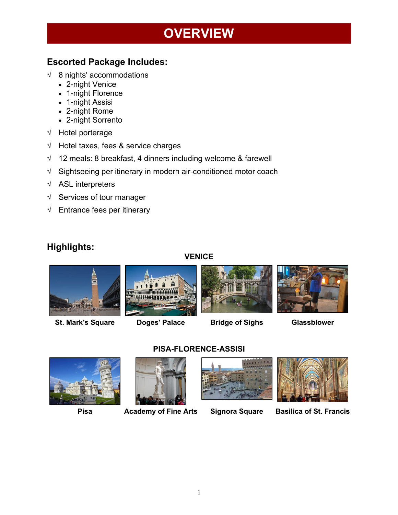## **OVERVIEW**

## **Escorted Package Includes:**

- $\sqrt{8}$  nights' accommodations
	- 2-night Venice
	- 1-night Florence
	- 1-night Assisi
	- 2-night Rome
	- 2-night Sorrento
- √ Hotel porterage
- √ Hotel taxes, fees & service charges
- $\sqrt{ }$  12 meals: 8 breakfast, 4 dinners including welcome & farewell
- $\sqrt{\phantom{a}}$  Sightseeing per itinerary in modern air-conditioned motor coach
- √ ASL interpreters
- $\sqrt{\phantom{a}}$  Services of tour manager
- $\sqrt{\phantom{a}}$  Entrance fees per itinerary

### **Highlights:**

#### **VENICE**



**St. Mark's Square Doges' Palace Bridge of Sighs Glassblower**















**Pisa Academy of Fine Arts Signora Square Basilica of St. Francis**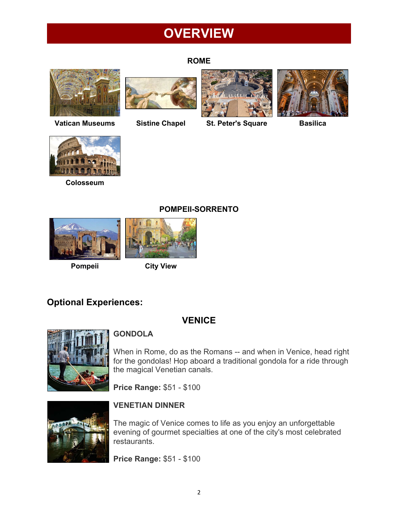## **OVERVIEW**

#### **ROME**







**Vatican Museums Sistine Chapel St. Peter's Square Basilica**





**Colosseum**





### **Pompeii City View**

## **Optional Experiences:**

## **VENICE**

**POMPEII-SORRENTO**



### **GONDOLA**

When in Rome, do as the Romans -- and when in Venice, head right for the gondolas! Hop aboard a traditional gondola for a ride through the magical Venetian canals.

**Price Range:** \$51 - \$100



### **VENETIAN DINNER**

The magic of Venice comes to life as you enjoy an unforgettable evening of gourmet specialties at one of the city's most celebrated restaurants.

**Price Range:** \$51 - \$100